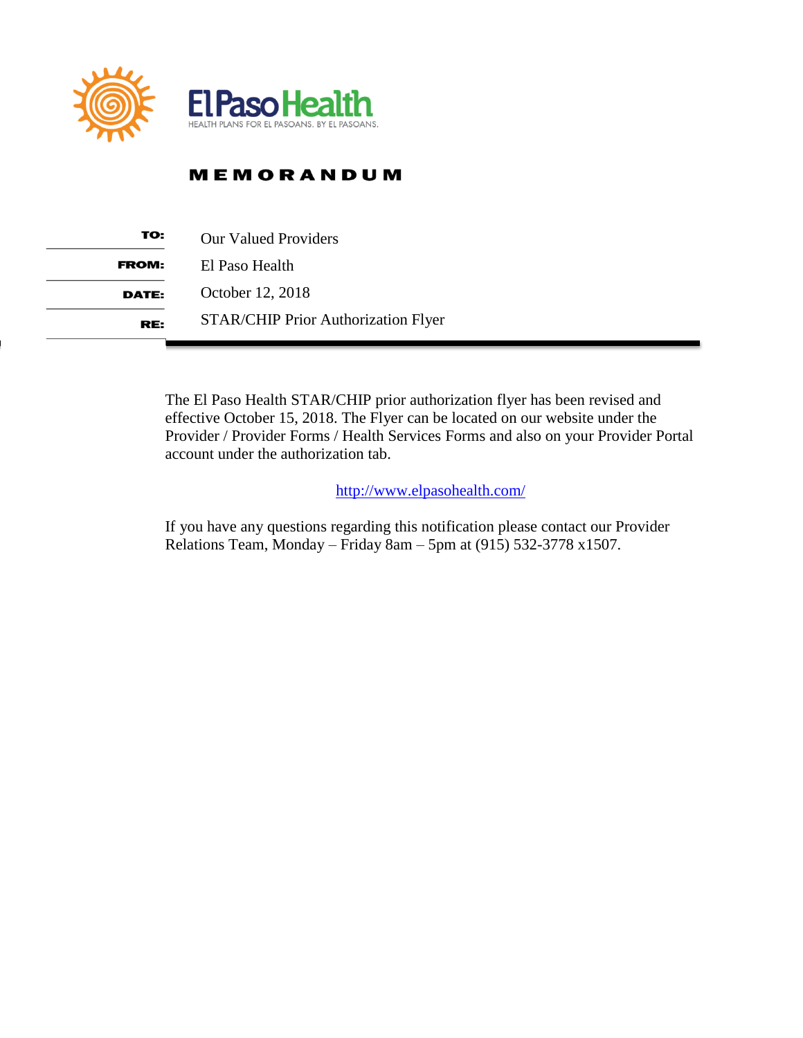

# **MEMORANDUM**

| TO:          | <b>Our Valued Providers</b>                |
|--------------|--------------------------------------------|
| <b>FROM:</b> | El Paso Health                             |
| DATE:        | October 12, 2018                           |
| RE:          | <b>STAR/CHIP Prior Authorization Flyer</b> |

The El Paso Health STAR/CHIP prior authorization flyer has been revised and effective October 15, 2018. The Flyer can be located on our website under the Provider / Provider Forms / Health Services Forms and also on your Provider Portal account under the authorization tab.

<http://www.elpasohealth.com/>

If you have any questions regarding this notification please contact our Provider Relations Team, Monday – Friday 8am – 5pm at (915) 532-3778 x1507.